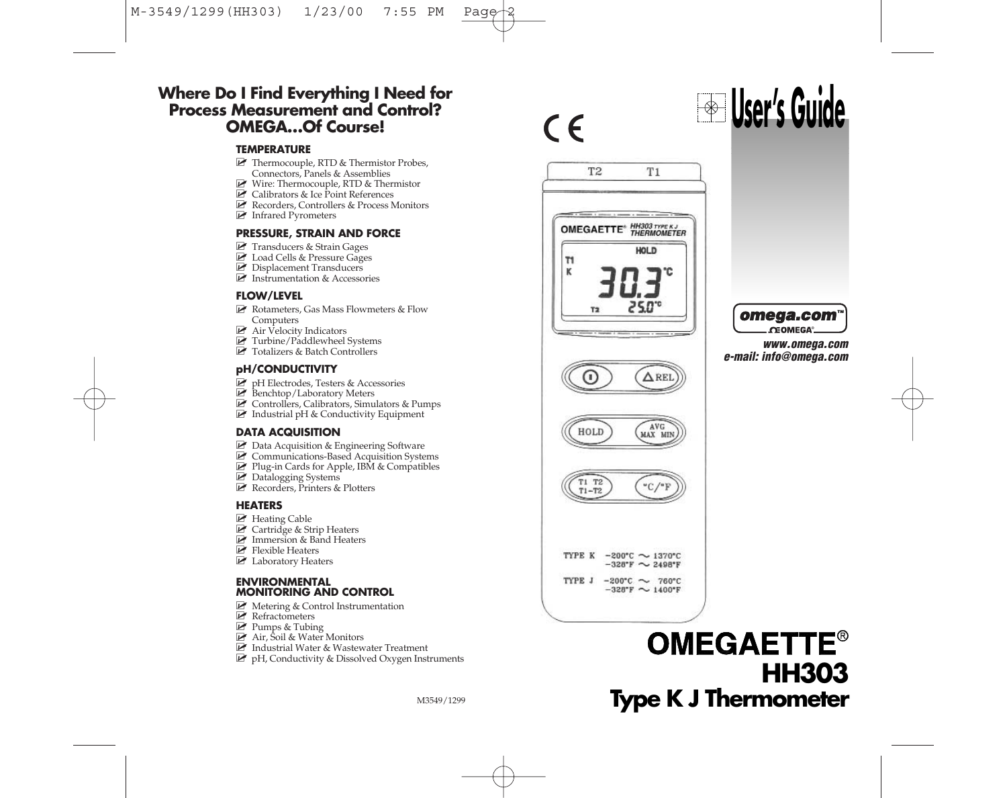#### **Where Do I Find Everything I Need for Process Measurement and Control? OMEGA…Of Course!**

#### **TEMPERATURE**

- **E** Thermocouple, RTD & Thermistor Probes, Connectors, Panels & Assemblies
- **2** Wire: Thermocouple, RTD & Thermistor
- **E** Calibrators & Ice Point References
- Recorders, Controllers & Process Monitors
- **E** Infrared Pyrometers

#### **PRESSURE, STRAIN AND FORCE**

- **2** Transducers & Strain Gages
- **E** Load Cells & Pressure Gages
- **2** Displacement Transducers
- **E** Instrumentation & Accessories

#### **FLOW/LEVEL**

- Rotameters, Gas Mass Flowmeters & Flow Computers
- **2** Air Velocity Indicators
- **2** Turbine/Paddlewheel Systems
- **Z** Totalizers & Batch Controllers

#### **pH/CONDUCTIVITY**

- P pH Electrodes, Testers & Accessories
- **E** Benchtop/Laboratory Meters
- Controllers, Calibrators, Simulators & Pumps
- **E** Industrial pH & Conductivity Equipment

#### **DATA ACQUISITION**

- **Z** Data Acquisition & Engineering Software
- **Z** Communications-Based Acquisition Systems
- **P** Plug-in Cards for Apple, IBM & Compatibles
- **2** Datalogging Systems
- Recorders, Printers & Plotters

#### **HEATERS**

- **P** Heating Cable
- **P** Cartridge & Strip Heaters
- **E** Immersion & Band Heaters
- **E** Flexible Heaters
- **E** Laboratory Heaters

#### **ENVIRONMENTAL MONITORING AND CONTROL**

- **E** Metering & Control Instrumentation
- **E** Refractometers
- **P** Pumps & Tubing
- Air, Soil & Water Monitors
- $\blacksquare$  Industrial Water & Wastewater Treatment
- **P** pH, Conductivity & Dissolved Oxygen Instruments

M3549/1299



HOLD

 $T1 T2$ <br> $T1-T2$ 

TYPE K



 $\triangle$  RE

MAX MIN

"С,

 $-200^{\circ}$ C  $\sim$  1370°C  $-328$ °F  $\sim$  2498°F TYPE J -200°C  $\sim$  760°C  $-328$ °F ~ 1400°F





omega.com **CEOMEGA** 

*www.omega.com e-mail: info@omega.com*

# **OMEGAETTE® HH303 Type K J Thermometer**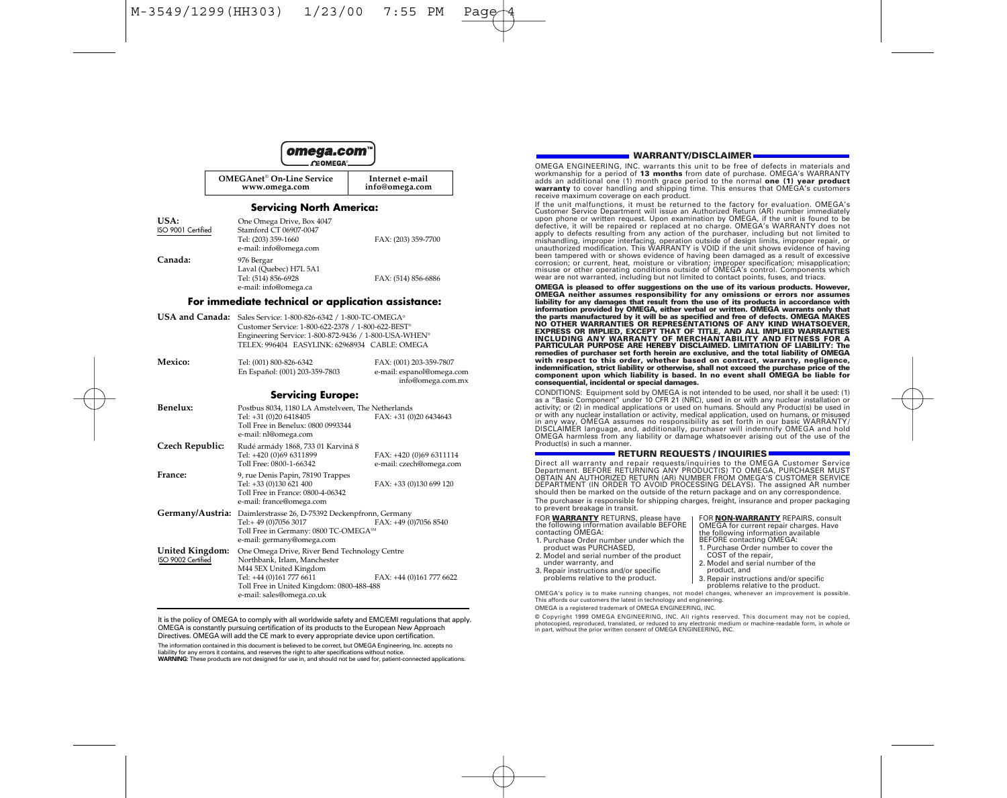

| <b>OMEGAnet<sup>®</sup> On-Line Service</b> | Internet e-mail |
|---------------------------------------------|-----------------|
| www.omega.com                               | info@omega.com  |

#### **Servicing North America:**

|                                       | servicing ivorm America;                                                                                                                                                                                                                    |                                                                           |
|---------------------------------------|---------------------------------------------------------------------------------------------------------------------------------------------------------------------------------------------------------------------------------------------|---------------------------------------------------------------------------|
| USA:<br>ISO 9001 Certified            | One Omega Drive, Box 4047<br>Stamford CT 06907-0047<br>Tel: (203) 359-1660<br>e-mail: info@omega.com                                                                                                                                        | FAX: (203) 359-7700                                                       |
| Canada:                               | 976 Bergar<br>Laval (Quebec) H7L 5A1<br>Tel: (514) 856-6928<br>e-mail: info@omega.ca                                                                                                                                                        | FAX: (514) 856-6886                                                       |
|                                       | For immediate technical or application assistance:                                                                                                                                                                                          |                                                                           |
|                                       | USA and Canada: Sales Service: 1-800-826-6342 / 1-800-TC-OMEGA®<br>Customer Service: 1-800-622-2378 / 1-800-622-BEST <sup>®</sup><br>Engineering Service: 1-800-872-9436 / 1-800-USA-WHEN®<br>TELEX: 996404 EASYLINK: 62968934 CABLE: OMEGA |                                                                           |
| Mexico:                               | Tel: (001) 800-826-6342<br>En Español: (001) 203-359-7803                                                                                                                                                                                   | FAX: (001) 203-359-7807<br>e-mail: espanol@omega.com<br>info@omega.com.mx |
|                                       | <b>Servicing Europe:</b>                                                                                                                                                                                                                    |                                                                           |
| Benelux:                              | Postbus 8034, 1180 LA Amstelveen, The Netherlands<br>Tel: +31 (0)20 6418405<br>Toll Free in Benelux: 0800 0993344<br>e-mail: nl@omega.com                                                                                                   | FAX: +31 (0)20 6434643                                                    |
| Czech Republic:                       | Rudé armády 1868, 733 01 Karviná 8<br>Tel: +420 (0)69 6311899<br>Toll Free: 0800-1-66342                                                                                                                                                    | FAX: +420 (0)69 6311114<br>e-mail: czech@omega.com                        |
| France:                               | 9, rue Denis Papin, 78190 Trappes<br>Tel: +33 (0)130 621 400<br>Toll Free in France: 0800-4-06342<br>e-mail: france@omega.com                                                                                                               | FAX: +33 (0)130 699 120                                                   |
| Germany/Austria:                      | Daimlerstrasse 26, D-75392 Deckenpfronn, Germany<br>Tel:+49 (0)7056 3017<br>Toll Free in Germany: 0800 TC-OMEGA <sup>5M</sup><br>e-mail: germany@omega.com                                                                                  | FAX: +49 (0)7056 8540                                                     |
| United Kingdom:<br>ISO 9002 Certified | One Omega Drive, River Bend Technology Centre<br>Northbank, Irlam, Manchester<br>M44 5EX United Kingdom<br>Tel: +44 (0)161 777 6611                                                                                                         | FAX: +44 (0)161 777 6622                                                  |

It is the policy of OMEGA to comply with all worldwide safety and EMC/EMI regulations that apply. OMEGA is constantly pursuing certification of its products to the European New Approach Directives. OMEGA will add the CE mark to every appropriate device upon certification. The information contained in this document is believed to be correct, but OMEGA Engineering, Inc. accepts no liability for any errors it contains, and reserves the right to alter specifications without notice.

Toll Free in United Kingdom: 0800-488-488 e-mail: sales@omega.co.uk

**WARNING:** These products are not designed for use in, and should not be used for, patient-connected applications.

#### **WARRANTY/DISCLAIMER**

OMEGA ENGINEERING, INC. warrants this unit to be free of defects in materials and workmanship for a period of **13 months** from date of purchase. OMEGA's WARRANTY adds an additional one (1) month grace period to the normal **one (1) year product warranty** to cover handling and shipping time. This ensures that OMEGA's customers receive maximum coverage on each product.

If the unit malfunctions, it must be returned to the factory for evaluation. OMEGA's Customer Service Department will issue an Authorized Return (AR) number immediately upon phone or written request. Upon examination by OMEGA, if the unit is found to be defective, it will be repaired or replaced at no charge. OMEGA's WARRANTY does not apply to defects resulting from any action of the purchaser, including but not limited to mishandling, improper interfacing, operation outside of design limits, improper repair, or unauthorized modification. This WARRANTY is VOID if the unit shows evidence of having been tampered with or shows evidence of having been damaged as a result of excessive corrosion; or current, heat, moisture or vibration; improper specification; misapplication; misuse or other operating conditions outside of OMEGA's control. Components which wear are not warranted, including but not limited to contact points, fuses, and triacs.

**OMEGA is pleased to offer suggestions on the use of its various products. However, OMEGA neither assumes responsibility for any omissions or errors nor assumes liability for any damages that result from the use of its products in accordance with information provided by OMEGA, either verbal or written. OMEGA warrants only that the parts manufactured by it will be as specified and free of defects. OMEGA MAKES NO OTHER WARRANTIES OR REPRESENTATIONS OF ANY KIND WHATSOEVER, EXPRESS OR IMPLIED, EXCEPT THAT OF TITLE, AND ALL IMPLIED WARRANTIES INCLUDING ANY WARRANTY OF MERCHANTABILITY AND FITNESS FOR A PARTICULAR PURPOSE ARE HEREBY DISCLAIMED. LIMITATION OF LIABILITY: The remedies of purchaser set forth herein are exclusive, and the total liability of OMEGA with respect to this order, whether based on contract, warranty, negligence, indemnification, strict liability or otherwise, shall not exceed the purchase price of the component upon which liability is based. In no event shall OMEGA be liable for consequential, incidental or special damages.**

CONDITIONS: Equipment sold by OMEGA is not intended to be used, nor shall it be used: (1) as a "Basic Component" under 10 CFR 21 (NRC), used in or with any nuclear installation or activity; or (2) in medical applications or used on humans. Should any Product(s) be used in or with any nuclear installation or activity, medical application, used on humans, or misused in any way, OMEGA assumes no responsibility as set forth in our basic WARRANTY/ DISCLAIMER language, and, additionally, purchaser will indemnify OMEGA and hold OMEGA harmless from any liability or damage whatsoever arising out of the use of the Product(s) in such a manner.

**RETURN REQUESTS / INQUIRIES**<br>Direct all warranty and repair requests/inquiries to the OMEGA Customer Service Direct all warranty and repair requests/inquiries to the OMEGA Customer Service<br>Department. BEFORE RETURNING ANY PRODUCT(S) TO OMEGA, PURCHASER MUST<br>OBTAIN AN AUTHORIZED RETURN (AR) NUMBER FROM OMEGA'S CUSTOMER SERVICE<br>DEP should then be marked on the outside of the return package and on any correspondence. The purchaser is responsible for shipping charges, freight, insurance and proper packaging

to prevent breakage in transit. FOR **WARRANTY** RETURNS, please have the following information available BEFORE contacting OMEGA: FOR **NON-WARRANTY** REPAIRS, consult OMEGA for current repair charges. Have

- 1. Purchase Order number under which the product was PURCHASED,
- 
- 2. Model and serial number of the product<br>under warranty, and<br>3. Repair instructions and/or specific
- problems relative to the product.

1. Purchase Order number to cover the COST of the repair, 2. Model and serial number of the product, and 3. Repair instructions and/or specific problems relative to the product. OMEGA's policy is to make running changes, not model changes, whenever an improvement is possible.

the following information available BEFORE contacting OMEGA:

This affords our customers the latest in technology and engineering. OMEGA is a registered trademark of OMEGA ENGINEERING, INC.

© Copyright 1999 OMEGA ENGINEERING, INC. All rights reserved. This document may not be copied, photocopied, reproduced, translated, or reduced to any electronic medium or machine-readable form, in whole or in part, without the prior written consent of OMEGA ENGINEERING, INC.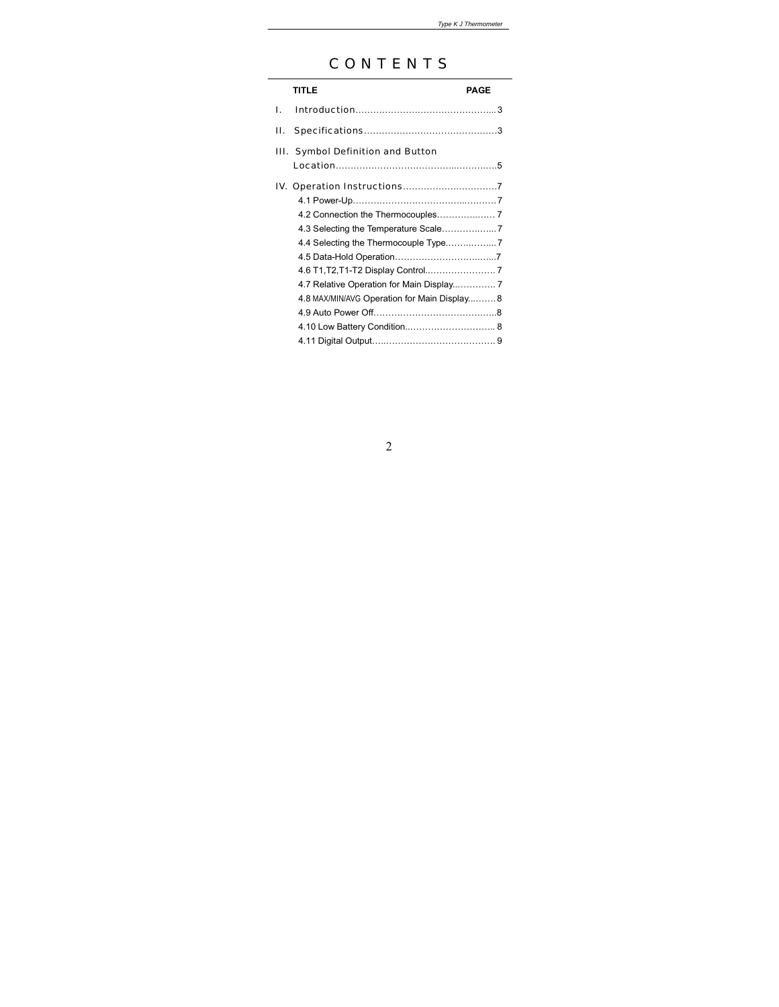# CONTENTS

|    | <b>TITLE</b>                                | PAGE |
|----|---------------------------------------------|------|
| L. |                                             |      |
| Н. |                                             |      |
|    | III. Symbol Definition and Button           |      |
|    |                                             |      |
|    |                                             |      |
|    |                                             |      |
|    |                                             |      |
|    |                                             |      |
|    |                                             |      |
|    |                                             |      |
|    |                                             |      |
|    | 4.8 MAX/MIN/AVG Operation for Main Display8 |      |
|    |                                             |      |
|    |                                             |      |
|    |                                             |      |

# $\overline{2}$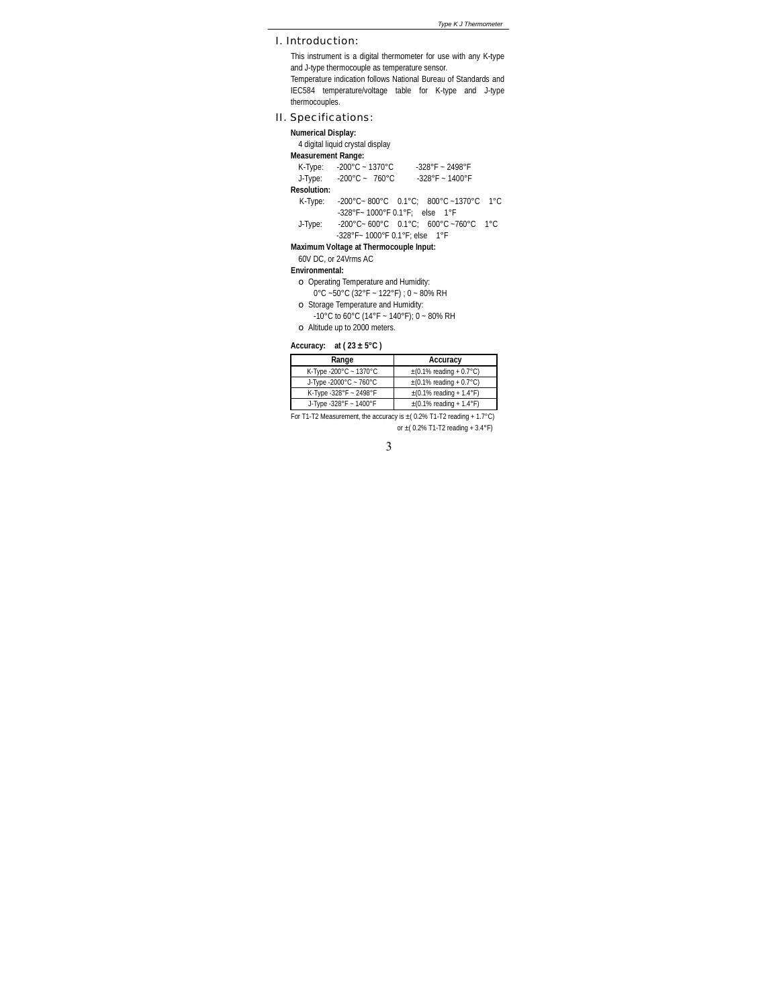I. Introduction:

This instrument is a digital thermometer for use with any K-type and J-type thermocouple as temperature sensor. Temperature indication follows National Bureau of Standards and IEC584 temperature/voltage table for K-type and J-type thermocouples.

## II. Specifications:

| <b>Numerical Display:</b><br><b>Measurement Range:</b> | 4 digital liquid crystal display            |                                                                                                         |  |
|--------------------------------------------------------|---------------------------------------------|---------------------------------------------------------------------------------------------------------|--|
|                                                        | K-Type: -200°C ~ 1370°C                     | $-328^{\circ}F - 2498^{\circ}F$                                                                         |  |
|                                                        | J-Type: $-200^{\circ}$ C ~ 760 $^{\circ}$ C | $-328$ °F ~ 1400°F                                                                                      |  |
| <b>Resolution:</b>                                     |                                             |                                                                                                         |  |
| K-Type:                                                |                                             | $-200^{\circ}$ C $-800^{\circ}$ C $-0.1^{\circ}$ C: 800 $^{\circ}$ C $-1370^{\circ}$ C 1 $^{\circ}$ C   |  |
|                                                        |                                             | -328°F~1000°F 0.1°F; else 1°F                                                                           |  |
| J-Type:                                                |                                             | $-200^{\circ}$ C ~ 600 $^{\circ}$ C 0.1 $^{\circ}$ C; 600 $^{\circ}$ C ~760 $^{\circ}$ C 1 $^{\circ}$ C |  |
|                                                        | -328°F~1000°F 0.1°F: else 1°F               |                                                                                                         |  |
|                                                        | Maximum Voltage at Thermocouple Input:      |                                                                                                         |  |

## 60V DC, or 24Vrms AC

**Environmental:**

- ο Operating Temperature and Humidity:
- $0^{\circ}$ C ~50°C (32°F ~ 122°F) ; 0 ~ 80% RH
- ο Storage Temperature and Humidity:
- -10°C to 60°C (14°F ~ 140°F); 0 ~ 80% RH
- ο Altitude up to 2000 meters.

#### **Accuracy: at ( 23 ± 5°C )**

| Range                                        | Accuracy                                            |
|----------------------------------------------|-----------------------------------------------------|
| K-Type -200 $^{\circ}$ C ~ 1370 $^{\circ}$ C | $\pm (0.1\% \text{ reading} + 0.7\degree \text{C})$ |
| J-Type -2000°C ~ 760°C                       | $\pm$ (0.1% reading + 0.7°C)                        |
| K-Type -328°F ~ 2498°F                       | $\pm$ (0.1% reading + 1.4°F)                        |
| J-Type -328°F ~ 1400°F                       | $\pm (0.1\% \text{ reading} + 1.4\degree \text{F})$ |

For T1-T2 Measurement, the accuracy is ±(0.2% T1-T2 reading + 1.7°C) or  $\pm$ (0.2% T1-T2 reading + 3.4°F)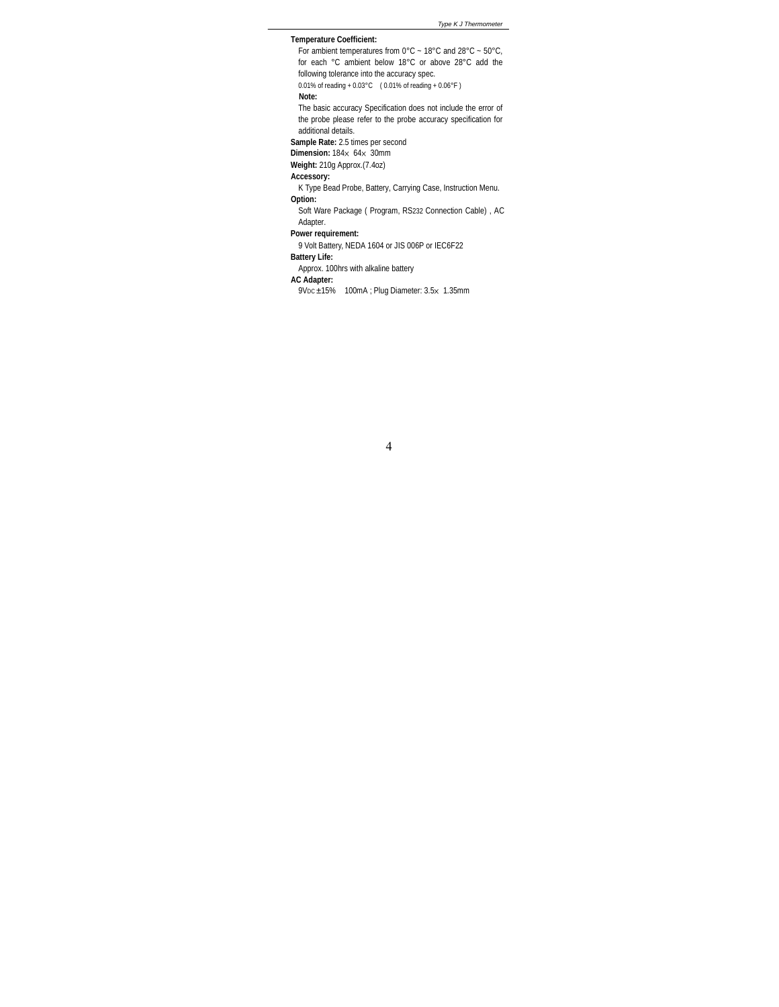**Temperature Coefficient:** For ambient temperatures from  $0^{\circ}$ C ~ 18°C and 28°C ~ 50°C, for each °C ambient below 18°C or above 28°C add the following tolerance into the accuracy spec. 0.01% of reading + 0.03°C ( 0.01% of reading + 0.06°F ) **Note:** The basic accuracy Specification does not include the error of the probe please refer to the probe accuracy specification for additional details. **Sample Rate:** 2.5 times per second **Dimension:** 184x 64x 30mm **Weight:** 210g Approx.(7.4oz) **Accessory:** K Type Bead Probe, Battery, Carrying Case, Instruction Menu. **Option:** Soft Ware Package ( Program, RS232 Connection Cable) , AC Adapter. **Power requirement:** 9 Volt Battery, NEDA 1604 or JIS 006P or IEC6F22 **Battery Life:** Approx. 100hrs with alkaline battery **AC Adapter:**  $9V_{DC}$   $\pm$ 15% 100mA ; Plug Diameter: 3.5 $\times$  1.35mm

 $\overline{4}$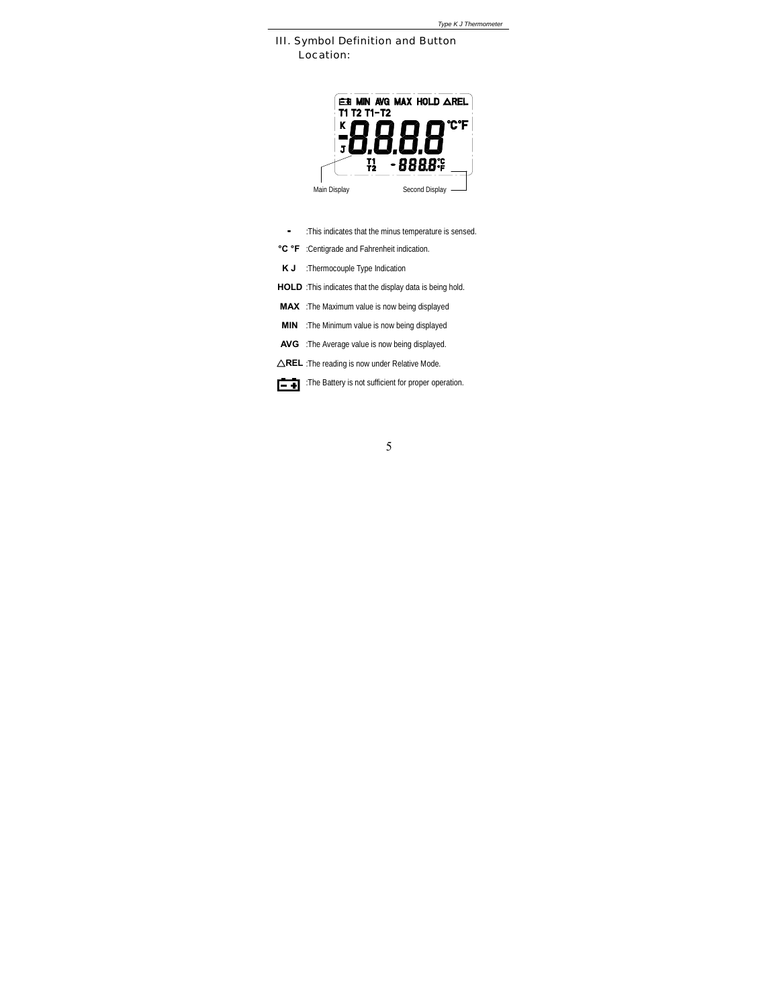*Type K J Thermometer*

III. Symbol Definition and Button Location:



- :This indicates that the minus temperature is sensed.
- °C °F :Centigrade and Fahrenheit indication.
- K J :Thermocouple Type Indication
- HOLD :This indicates that the display data is being hold.
- MAX :The Maximum value is now being displayed
- **MIN** :The Minimum value is now being displayed
- AVG : The Average value is now being displayed.
- $\triangle$ REL :The reading is now under Relative Mode.

:The Battery is not sufficient for proper operation.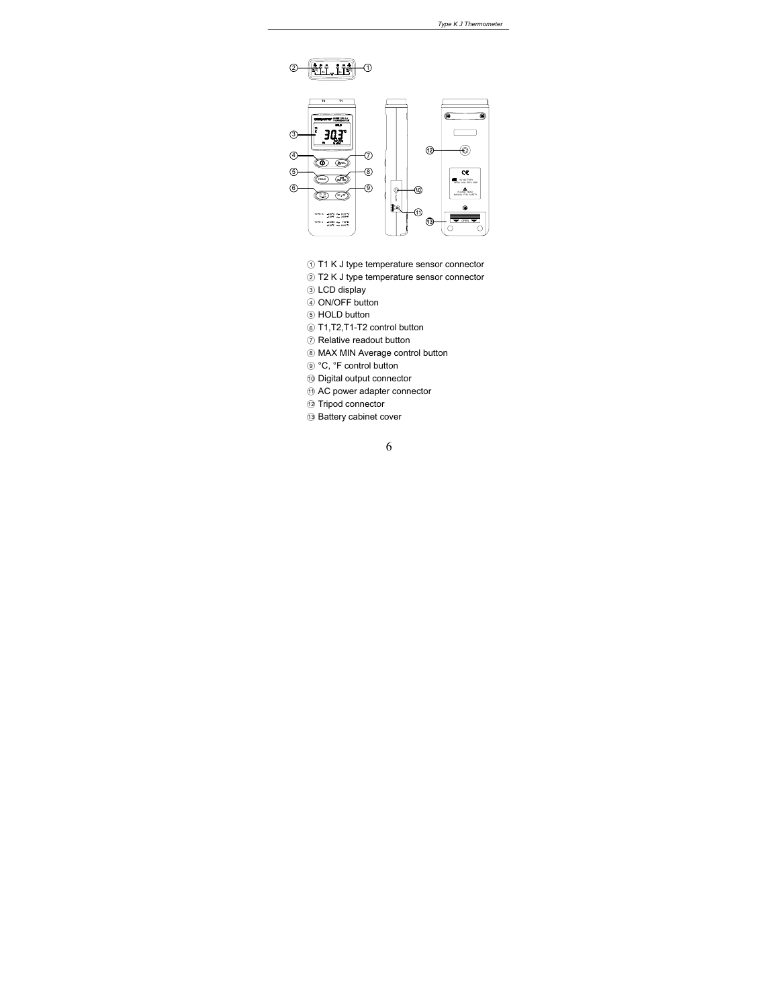



- 1 T1 K J type temperature sensor connector
- 2 T2 K J type temperature sensor connector
- 3 LCD display
- 4 ON/OFF button
- 5 HOLD button
- 6 T1, T2, T1-T2 control button
- 7 Relative readout button
- 8 MAX MIN Average control button
- <sup>o</sup> °C, °F control button
- <sup>10</sup> Digital output connector
- <sup>1</sup> AC power adapter connector
- @ Tripod connector
- <sup>(3</sup> Battery cabinet cover

 $\sqrt{6}$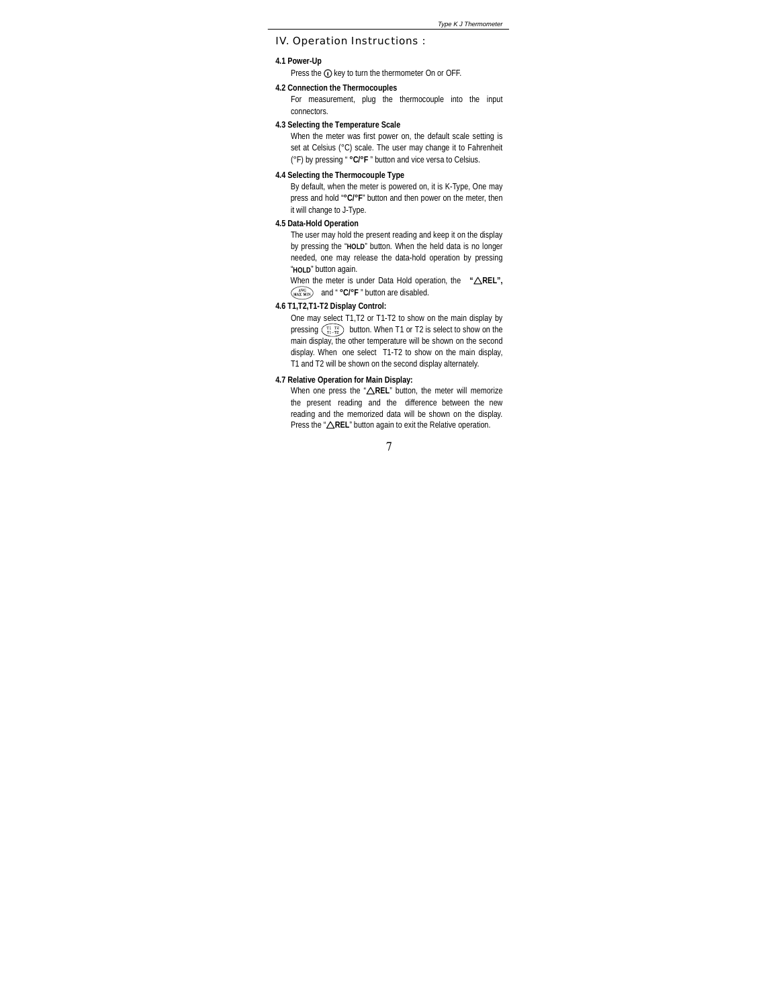*Type K J Thermometer*

IV. Operation Instructions :

#### **4.1 Power-Up**

Press the  $\bigcirc$  key to turn the thermometer On or OFF.

#### **4.2 Connection the Thermocouples**

For measurement, plug the thermocouple into the input connectors.

## **4.3 Selecting the Temperature Scale**

When the meter was first power on, the default scale setting is set at Celsius (°C) scale. The user may change it to Fahrenheit (°F) by pressing " **°C/°F** " button and vice versa to Celsius.

## **4.4 Selecting the Thermocouple Type**

By default, when the meter is powered on, it is K-Type, One may press and hold "**°C/°F**" button and then power on the meter, then it will change to J-Type.

## **4.5 Data-Hold Operation**

The user may hold the present reading and keep it on the display by pressing the "**HOLD**" button. When the held data is no longer needed, one may release the data-hold operation by pressing "**HOLD**" button again.

**When the meter is under Data Hold operation, the "△REL",** and " **°C/°F** " button are disabled.

## **4.6 T1,T2,T1-T2 Display Control:**

One may select T1,T2 or T1-T2 to show on the main display by pressing  $\binom{n}{n-m}$  button. When T1 or T2 is select to show on the main display, the other temperature will be shown on the second display. When one select T1-T2 to show on the main display, T1 and T2 will be shown on the second display alternately.

#### **4.7 Relative Operation for Main Display:**

When one press the "AREL" button, the meter will memorize the present reading and the difference between the new reading and the memorized data will be shown on the display. Press the " **REL**" button again to exit the Relative operation.

 $\overline{7}$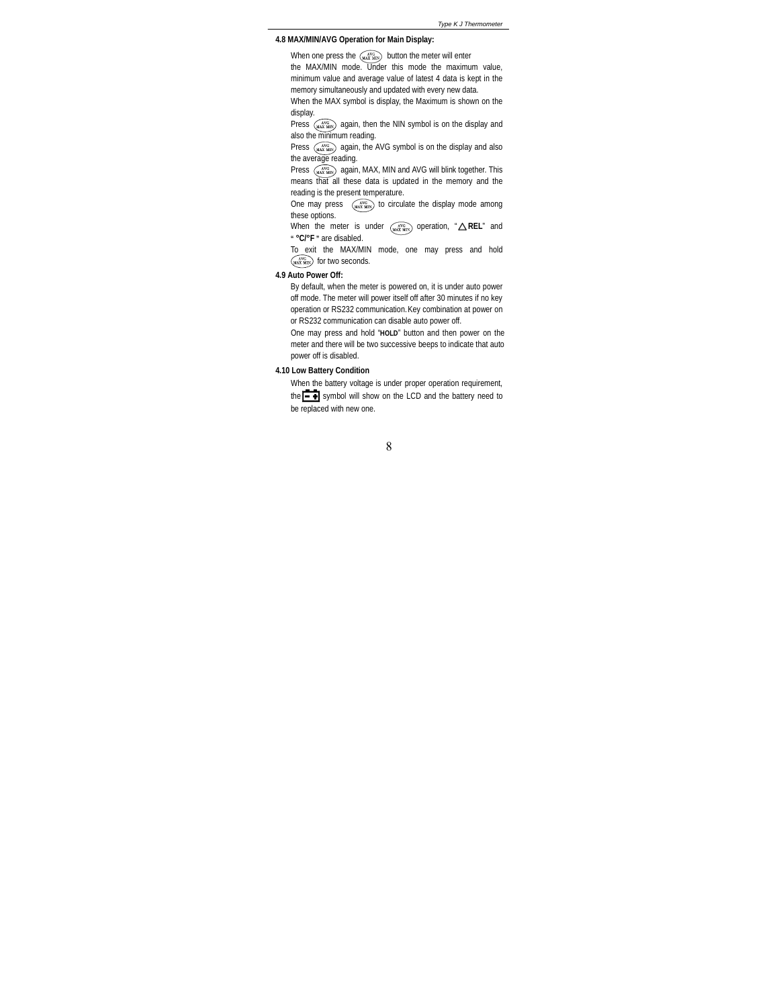## **4.8 MAX/MIN/AVG Operation for Main Display:**

When one press the  $\left(\frac{1}{2}X\right)$  button the meter will enter the MAX/MIN mode. Under this mode the maximum value, minimum value and average value of latest 4 data is kept in the memory simultaneously and updated with every new data.

When the MAX symbol is display, the Maximum is shown on the display.

Press  $(x_0, x_0)$  again, then the NIN symbol is on the display and also the minimum reading.

Press  $(x_0, x_0, y_0)$  again, the AVG symbol is on the display and also the average reading.

Press  $\widetilde{\mathbf{w}}_k$  again, MAX, MIN and AVG will blink together. This means that all these data is updated in the memory and the reading is the present temperature.

One may press  $\overbrace{\textbf{maxmax}}$  to circulate the display mode among these options.

When the meter is under (with operation, "
∧REL" and **" °C/°F "** are disabled.

To exit the MAX/MIN mode, one may press and hold  $(x)$  for two seconds.

#### **4.9 Auto Power Off:**

By default, when the meter is powered on, it is under auto power off mode. The meter will power itself off after 30 minutes if no key operation or RS232 communication.Key combination at power on or RS232 communication can disable auto power off.

One may press and hold "**HOLD**" button and then power on the meter and there will be two successive beeps to indicate that auto power off is disabled.

## **4.10 Low Battery Condition**

When the battery voltage is under proper operation requirement, the  $\overline{\phantom{1}}$  symbol will show on the LCD and the battery need to be replaced with new one.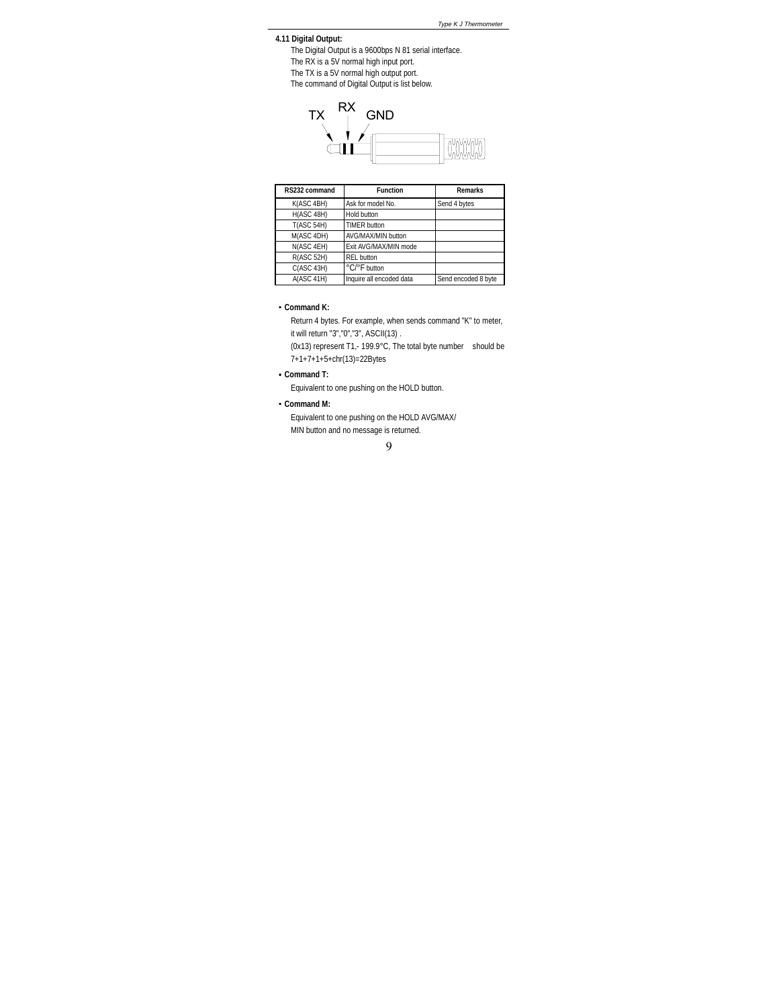**4.11 Digital Output:**

The Digital Output is a 9600bps N 81 serial interface.

- The RX is a 5V normal high input port.
- The TX is a 5V normal high output port.
- The command of Digital Output is list below.



| RS232 command     | <b>Function</b>          | <b>Remarks</b>      |
|-------------------|--------------------------|---------------------|
| K(ASC 4BH)        | Ask for model No.        | Send 4 bytes        |
| H(ASC 48H)        | Hold button              |                     |
| <b>T(ASC 54H)</b> | <b>TIMER button</b>      |                     |
| M(ASC 4DH)        | AVG/MAX/MIN button       |                     |
| N(ASC 4EH)        | Exit AVG/MAX/MIN mode    |                     |
| R(ASC 52H)        | <b>REL button</b>        |                     |
| C(ASC 43H)        | °C/°F button             |                     |
| A(ASC 41H)        | Inquire all encoded data | Send encoded 8 byte |

## **Command K:**

Return 4 bytes. For example, when sends command "K" to meter, it will return "3","0","3", ASCII(13) .

(0x13) represent T1,- 199.9°C, The total byte number should be 7+1+7+1+5+chr(13)=22Bytes

## **Command T:**

Equivalent to one pushing on the HOLD button.

#### **Command M:**

Equivalent to one pushing on the HOLD AVG/MAX/ MIN button and no message is returned.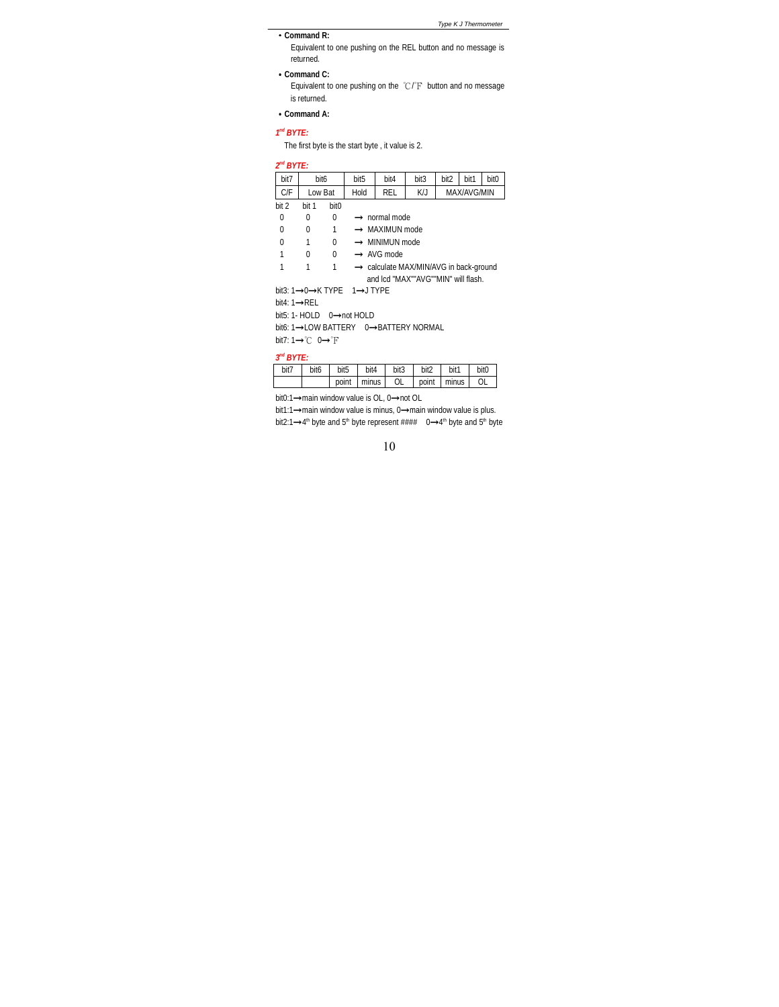**Command R:**

*Type K J Thermometer*

Equivalent to one pushing on the REL button and no message is returned.

**Command C:**

Equivalent to one pushing on the  $\degree \mathbb{C}/\degree \mathrm{F} \;$  button and no message is returned.

## **Command A:**

#### *1nd BYTE:*

The first byte is the start byte , it value is 2.

| 2" BYTE:       |                |                  |                                                    |                                      |      |      |      |                  |
|----------------|----------------|------------------|----------------------------------------------------|--------------------------------------|------|------|------|------------------|
| bit7           | bit6           |                  | bit <sub>5</sub>                                   | bit4                                 | bit3 | bit2 | bit1 | bit <sub>0</sub> |
| C/F            | Low Bat        |                  | K/J<br>Hold<br>RFL<br>MAX/AVG/MIN                  |                                      |      |      |      |                  |
| bit 2          | bit 1          | bit <sub>0</sub> |                                                    |                                      |      |      |      |                  |
| 0              | 0              | 0                |                                                    | $\rightarrow$ normal mode            |      |      |      |                  |
| $\Omega$       | 0              | 1                |                                                    | → MAXIMUN mode                       |      |      |      |                  |
| 0              | 1              | $\Omega$         |                                                    | $\rightarrow$ MINIMUN mode           |      |      |      |                  |
| 1              | 0              | $\Omega$         |                                                    | $\rightarrow$ AVG mode               |      |      |      |                  |
| 1              | 1              | 1                | $\rightarrow$ calculate MAX/MIN/AVG in back-ground |                                      |      |      |      |                  |
|                |                |                  |                                                    | and Icd "MAX""AVG""MIN" will flash.  |      |      |      |                  |
|                |                |                  | bit3: 1→0→K TYPE 1→J TYPE                          |                                      |      |      |      |                  |
| bit4: 1→RFL    |                |                  |                                                    |                                      |      |      |      |                  |
|                |                |                  | bit5: 1- HOLD $0 \rightarrow$ not HOLD             |                                      |      |      |      |                  |
|                |                |                  |                                                    | bit6: 1→LOW BATTERY 0→BATTERY NORMAL |      |      |      |                  |
|                | bit7: 1→℃ 0→°F |                  |                                                    |                                      |      |      |      |                  |
| $2^{nd}$ RVTF. |                |                  |                                                    |                                      |      |      |      |                  |

| $\cdot$<br><i><u><u>DIIL.</u></u></i> |                  |                  |       |      |       |       |                  |
|---------------------------------------|------------------|------------------|-------|------|-------|-------|------------------|
| bit7                                  | bit <sub>6</sub> | bit <sub>5</sub> | bit4  | bit3 | bit2  | bit1  | bit <sub>0</sub> |
|                                       |                  | point            | minus | 0L   | point | minus |                  |

bit0:1**→**main window value is OL, 0**→**not OL

bit1:1**→**main window value is minus, 0**→**main window value is plus. bit2:1→4<sup>th</sup> byte and 5<sup>th</sup> byte represent #### 0→4<sup>th</sup> byte and 5<sup>th</sup> byte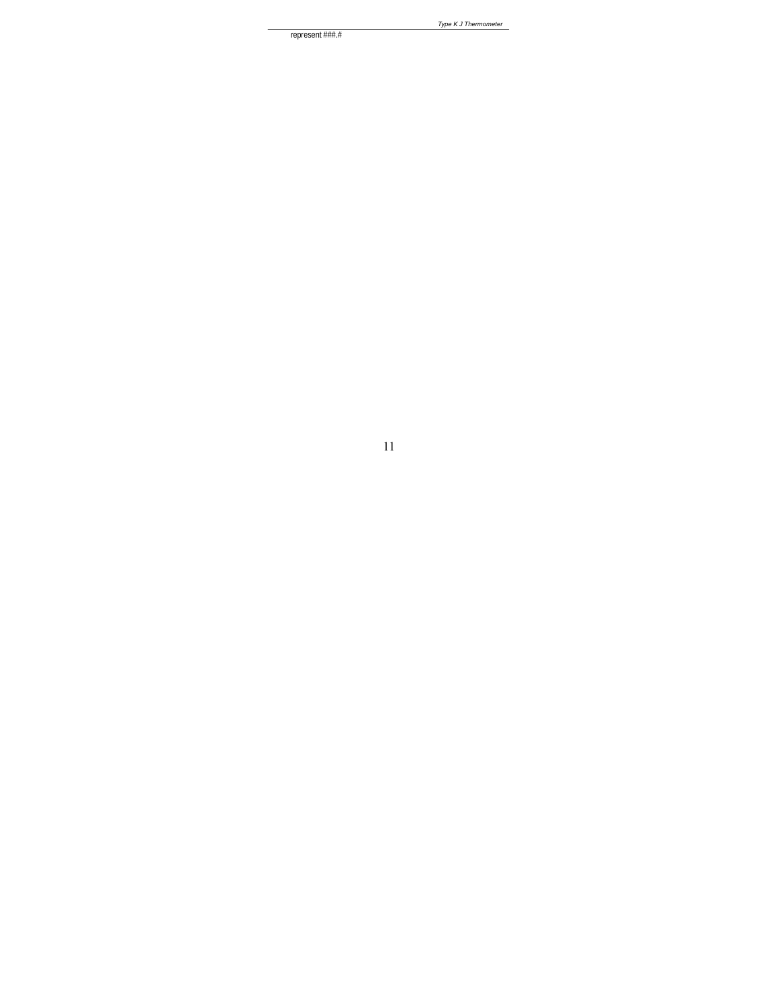represent  $\# \# \#$ 

 $11\,$ 

Type K J Thermometer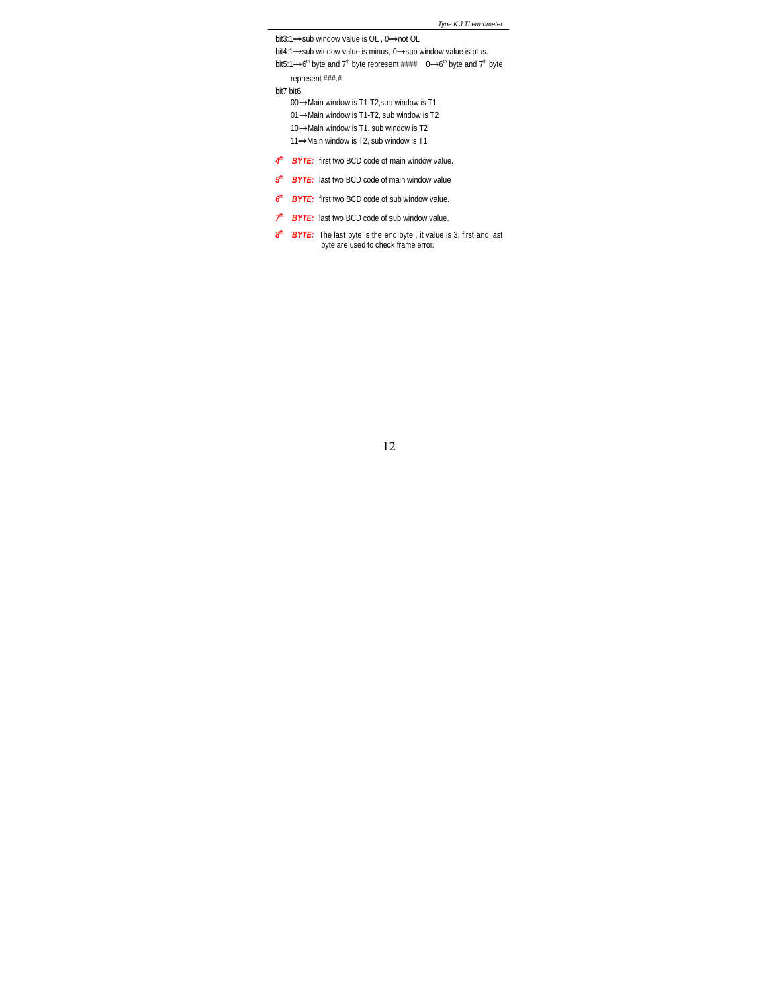```
Type K J Thermometer
```
bit3:1**→**sub window value is OL , 0**→**not OL bit4:1**→**sub window value is minus, 0**→**sub window value is plus. bit5:1→6<sup>th</sup> byte and 7<sup>th</sup> byte represent #### 0→6<sup>th</sup> byte and 7<sup>th</sup> byte represent ###.# bit7 bit6: 00**→**Main window is T1-T2,sub window is T1 01**→**Main window is T1-T2, sub window is T2 10**→**Main window is T1, sub window is T2 11**→**Main window is T2, sub window is T1 *4th BYTE:* first two BCD code of main window value.

- *5th BYTE:* last two BCD code of main window value
- 6<sup>th</sup> BYTE: first two BCD code of sub window value.
- *7th BYTE:* last two BCD code of sub window value.
- *8<sup>th</sup> BYTE:* The last byte is the end byte, it value is 3, first and last byte are used to check frame error.